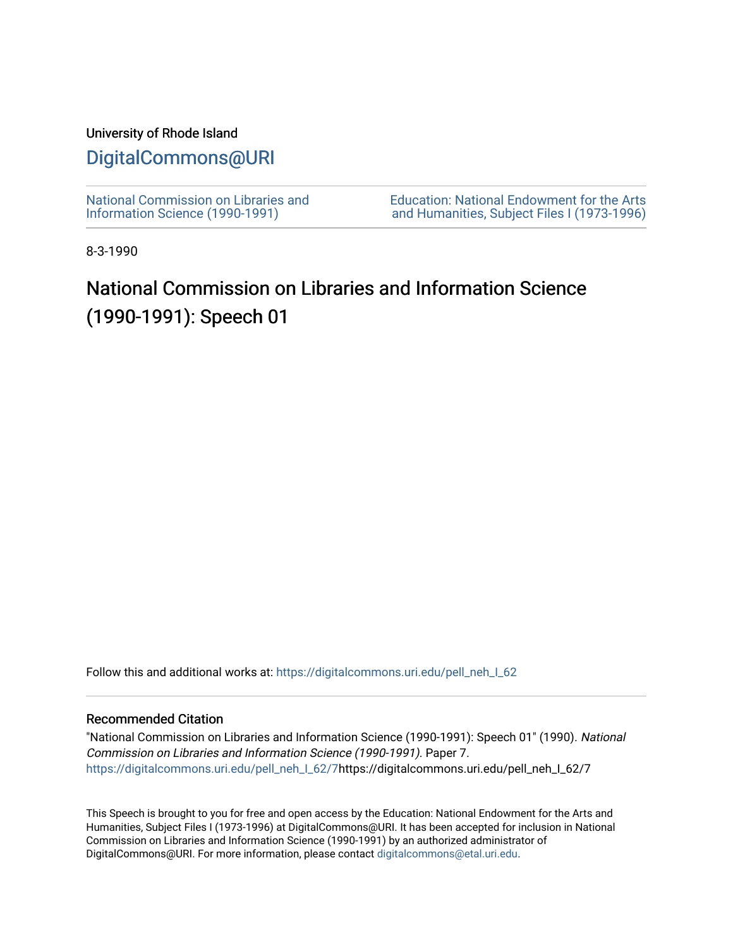## University of Rhode Island

# [DigitalCommons@URI](https://digitalcommons.uri.edu/)

[National Commission on Libraries and](https://digitalcommons.uri.edu/pell_neh_I_62) [Information Science \(1990-1991\)](https://digitalcommons.uri.edu/pell_neh_I_62) 

[Education: National Endowment for the Arts](https://digitalcommons.uri.edu/pell_neh_I)  [and Humanities, Subject Files I \(1973-1996\)](https://digitalcommons.uri.edu/pell_neh_I) 

8-3-1990

# National Commission on Libraries and Information Science (1990-1991): Speech 01

Follow this and additional works at: https://digitalcommons.uri.edu/pell\_neh\_I\_62

### Recommended Citation

"National Commission on Libraries and Information Science (1990-1991): Speech 01" (1990). National Commission on Libraries and Information Science (1990-1991). Paper 7. [https://digitalcommons.uri.edu/pell\\_neh\\_I\\_62/7h](https://digitalcommons.uri.edu/pell_neh_I_62/7?utm_source=digitalcommons.uri.edu%2Fpell_neh_I_62%2F7&utm_medium=PDF&utm_campaign=PDFCoverPages)ttps://digitalcommons.uri.edu/pell\_neh\_I\_62/7

This Speech is brought to you for free and open access by the Education: National Endowment for the Arts and Humanities, Subject Files I (1973-1996) at DigitalCommons@URI. It has been accepted for inclusion in National Commission on Libraries and Information Science (1990-1991) by an authorized administrator of DigitalCommons@URI. For more information, please contact [digitalcommons@etal.uri.edu.](mailto:digitalcommons@etal.uri.edu)